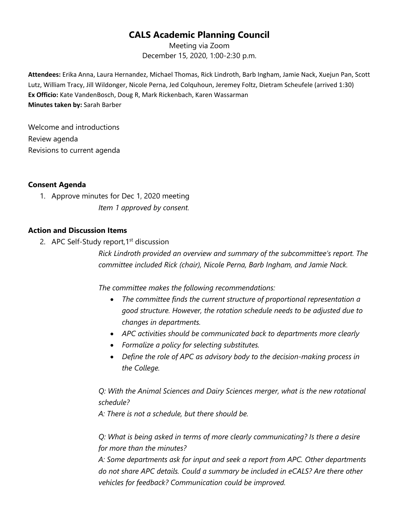# **CALS Academic Planning Council**

Meeting via Zoom December 15, 2020, 1:00-2:30 p.m.

**Attendees:** Erika Anna, Laura Hernandez, Michael Thomas, Rick Lindroth, Barb Ingham, Jamie Nack, Xuejun Pan, Scott Lutz, William Tracy, Jill Wildonger, Nicole Perna, Jed Colquhoun, Jeremey Foltz, Dietram Scheufele (arrived 1:30) **Ex Officio:** Kate VandenBosch, Doug R, Mark Rickenbach, Karen Wassarman **Minutes taken by:** Sarah Barber

Welcome and introductions Review agenda Revisions to current agenda

### **Consent Agenda**

1. Approve minutes for Dec 1, 2020 meeting *Item 1 approved by consent.*

## **Action and Discussion Items**

2. APC Self-Study report, 1<sup>st</sup> discussion

*Rick Lindroth provided an overview and summary of the subcommittee's report. The committee included Rick (chair), Nicole Perna, Barb Ingham, and Jamie Nack.* 

*The committee makes the following recommendations:* 

- *The committee finds the current structure of proportional representation a good structure. However, the rotation schedule needs to be adjusted due to changes in departments.*
- *APC activities should be communicated back to departments more clearly*
- *Formalize a policy for selecting substitutes.*
- *Define the role of APC as advisory body to the decision-making process in the College.*

*Q: With the Animal Sciences and Dairy Sciences merger, what is the new rotational schedule?* 

*A: There is not a schedule, but there should be.* 

*Q: What is being asked in terms of more clearly communicating? Is there a desire for more than the minutes?*

*A: Some departments ask for input and seek a report from APC. Other departments do not share APC details. Could a summary be included in eCALS? Are there other vehicles for feedback? Communication could be improved.*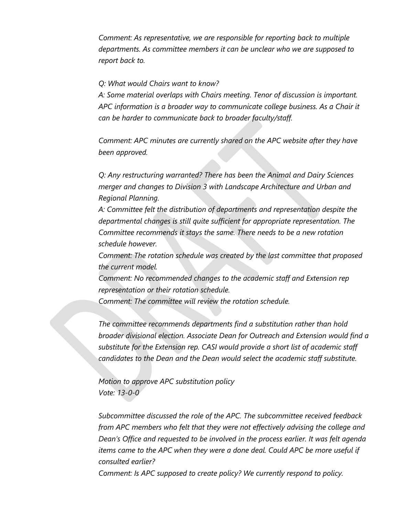*Comment: As representative, we are responsible for reporting back to multiple departments. As committee members it can be unclear who we are supposed to report back to.*

#### *Q: What would Chairs want to know?*

*A: Some material overlaps with Chairs meeting. Tenor of discussion is important. APC information is a broader way to communicate college business. As a Chair it can be harder to communicate back to broader faculty/staff.* 

*Comment: APC minutes are currently shared on the APC website after they have been approved.*

*Q: Any restructuring warranted? There has been the Animal and Dairy Sciences merger and changes to Division 3 with Landscape Architecture and Urban and Regional Planning.*

*A: Committee felt the distribution of departments and representation despite the departmental changes is still quite sufficient for appropriate representation. The Committee recommends it stays the same. There needs to be a new rotation schedule however.*

*Comment: The rotation schedule was created by the last committee that proposed the current model.*

*Comment: No recommended changes to the academic staff and Extension rep representation or their rotation schedule.* 

*Comment: The committee will review the rotation schedule.*

*The committee recommends departments find a substitution rather than hold broader divisional election. Associate Dean for Outreach and Extension would find a substitute for the Extension rep. CASI would provide a short list of academic staff candidates to the Dean and the Dean would select the academic staff substitute.* 

*Motion to approve APC substitution policy Vote: 13-0-0*

*Subcommittee discussed the role of the APC. The subcommittee received feedback from APC members who felt that they were not effectively advising the college and Dean's Office and requested to be involved in the process earlier. It was felt agenda items came to the APC when they were a done deal. Could APC be more useful if consulted earlier?* 

*Comment: Is APC supposed to create policy? We currently respond to policy.*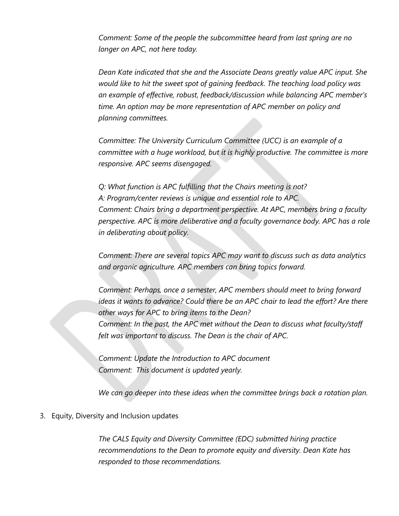*Comment: Some of the people the subcommittee heard from last spring are no longer on APC, not here today.*

*Dean Kate indicated that she and the Associate Deans greatly value APC input. She would like to hit the sweet spot of gaining feedback. The teaching load policy was an example of effective, robust, feedback/discussion while balancing APC member's time. An option may be more representation of APC member on policy and planning committees.* 

*Committee: The University Curriculum Committee (UCC) is an example of a committee with a huge workload, but it is highly productive. The committee is more responsive. APC seems disengaged.* 

*Q: What function is APC fulfilling that the Chairs meeting is not? A: Program/center reviews is unique and essential role to APC. Comment: Chairs bring a department perspective. At APC, members bring a faculty perspective. APC is more deliberative and a faculty governance body. APC has a role in deliberating about policy.* 

*Comment: There are several topics APC may want to discuss such as data analytics and organic agriculture. APC members can bring topics forward.* 

*Comment: Perhaps, once a semester, APC members should meet to bring forward ideas it wants to advance? Could there be an APC chair to lead the effort? Are there other ways for APC to bring items to the Dean? Comment: In the past, the APC met without the Dean to discuss what faculty/staff felt was important to discuss. The Dean is the chair of APC.* 

*Comment: Update the Introduction to APC document Comment: This document is updated yearly.*

*We can go deeper into these ideas when the committee brings back a rotation plan.*

#### 3. Equity, Diversity and Inclusion updates

*The CALS Equity and Diversity Committee (EDC) submitted hiring practice recommendations to the Dean to promote equity and diversity. Dean Kate has responded to those recommendations.*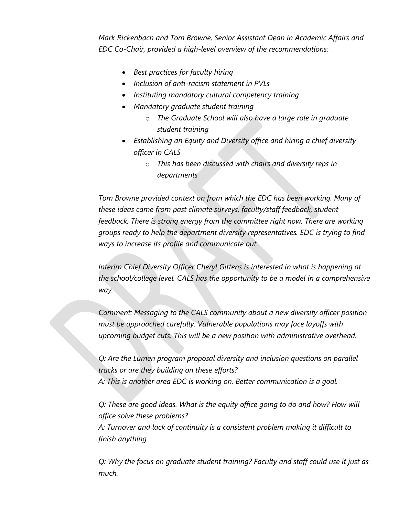*Mark Rickenbach and Tom Browne, Senior Assistant Dean in Academic Affairs and EDC Co-Chair, provided a high-level overview of the recommendations:*

- *Best practices for faculty hiring*
- *Inclusion of anti-racism statement in PVLs*
- *Instituting mandatory cultural competency training*
- *Mandatory graduate student training*
	- o *The Graduate School will also have a large role in graduate student training*
- *Establishing an Equity and Diversity office and hiring a chief diversity officer in CALS*
	- o *This has been discussed with chairs and diversity reps in departments*

*Tom Browne provided context on from which the EDC has been working. Many of these ideas came from past climate surveys, faculty/staff feedback, student feedback. There is strong energy from the committee right now. There are working groups ready to help the department diversity representatives. EDC is trying to find ways to increase its profile and communicate out.* 

*Interim Chief Diversity Officer Cheryl Gittens is interested in what is happening at the school/college level. CALS has the opportunity to be a model in a comprehensive way.* 

*Comment: Messaging to the CALS community about a new diversity officer position must be approached carefully. Vulnerable populations may face layoffs with upcoming budget cuts. This will be a new position with administrative overhead.* 

*Q: Are the Lumen program proposal diversity and inclusion questions on parallel tracks or are they building on these efforts? A: This is another area EDC is working on. Better communication is a goal.* 

*Q: These are good ideas. What is the equity office going to do and how? How will office solve these problems?*

*A: Turnover and lack of continuity is a consistent problem making it difficult to finish anything.*

*Q: Why the focus on graduate student training? Faculty and staff could use it just as much.*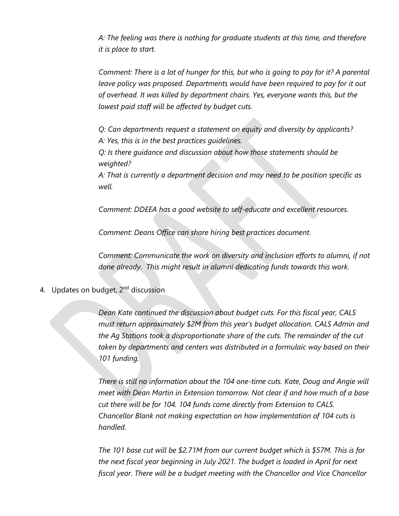*A: The feeling was there is nothing for graduate students at this time, and therefore it is place to start.* 

*Comment: There is a lot of hunger for this, but who is going to pay for it? A parental*  leave policy was proposed. Departments would have been required to pay for it out *of overhead. It was killed by department chairs. Yes, everyone wants this, but the lowest paid staff will be affected by budget cuts.* 

*Q: Can departments request a statement on equity and diversity by applicants?* 

*A: Yes, this is in the best practices guidelines.* 

*Q: Is there guidance and discussion about how those statements should be weighted?*

*A: That is currently a department decision and may need to be position specific as well.*

*Comment: DDEEA has a good website to self-educate and excellent resources.* 

*Comment: Deans Office can share hiring best practices document.*

*Comment: Communicate the work on diversity and inclusion efforts to alumni, if not done already. This might result in alumni dedicating funds towards this work.*

4. Updates on budget, 2<sup>nd</sup> discussion

*Dean Kate continued the discussion about budget cuts. For this fiscal year, CALS must return approximately \$2M from this year's budget allocation. CALS Admin and the Ag Stations took a disproportionate share of the cuts. The remainder of the cut taken by departments and centers was distributed in a formulaic way based on their 101 funding.*

*There is still no information about the 104 one-time cuts. Kate, Doug and Angie will meet with Dean Martin in Extension tomorrow. Not clear if and how much of a base cut there will be for 104. 104 funds come directly from Extension to CALS. Chancellor Blank not making expectation on how implementation of 104 cuts is handled.*

*The 101 base cut will be \$2.71M from our current budget which is \$57M. This is for the next fiscal year beginning in July 2021. The budget is loaded in April for next fiscal year. There will be a budget meeting with the Chancellor and Vice Chancellor*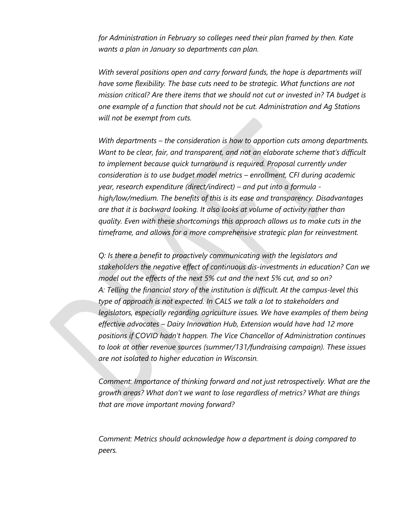*for Administration in February so colleges need their plan framed by then. Kate wants a plan in January so departments can plan.* 

*With several positions open and carry forward funds, the hope is departments will have some flexibility. The base cuts need to be strategic. What functions are not mission critical? Are there items that we should not cut or invested in? TA budget is one example of a function that should not be cut. Administration and Ag Stations will not be exempt from cuts.* 

*With departments – the consideration is how to apportion cuts among departments. Want to be clear, fair, and transparent, and not an elaborate scheme that's difficult to implement because quick turnaround is required. Proposal currently under consideration is to use budget model metrics – enrollment, CFI during academic year, research expenditure (direct/indirect) – and put into a formula high/low/medium. The benefits of this is its ease and transparency. Disadvantages are that it is backward looking. It also looks at volume of activity rather than quality. Even with these shortcomings this approach allows us to make cuts in the timeframe, and allows for a more comprehensive strategic plan for reinvestment.* 

*Q: Is there a benefit to proactively communicating with the legislators and stakeholders the negative effect of continuous dis-investments in education? Can we model out the effects of the next 5% cut and the next 5% cut, and so on? A: Telling the financial story of the institution is difficult. At the campus-level this type of approach is not expected. In CALS we talk a lot to stakeholders and legislators, especially regarding agriculture issues. We have examples of them being effective advocates – Dairy Innovation Hub, Extension would have had 12 more positions if COVID hadn't happen. The Vice Chancellor of Administration continues to look at other revenue sources (summer/131/fundraising campaign). These issues are not isolated to higher education in Wisconsin.* 

*Comment: Importance of thinking forward and not just retrospectively. What are the growth areas? What don't we want to lose regardless of metrics? What are things that are move important moving forward?*

*Comment: Metrics should acknowledge how a department is doing compared to peers.*